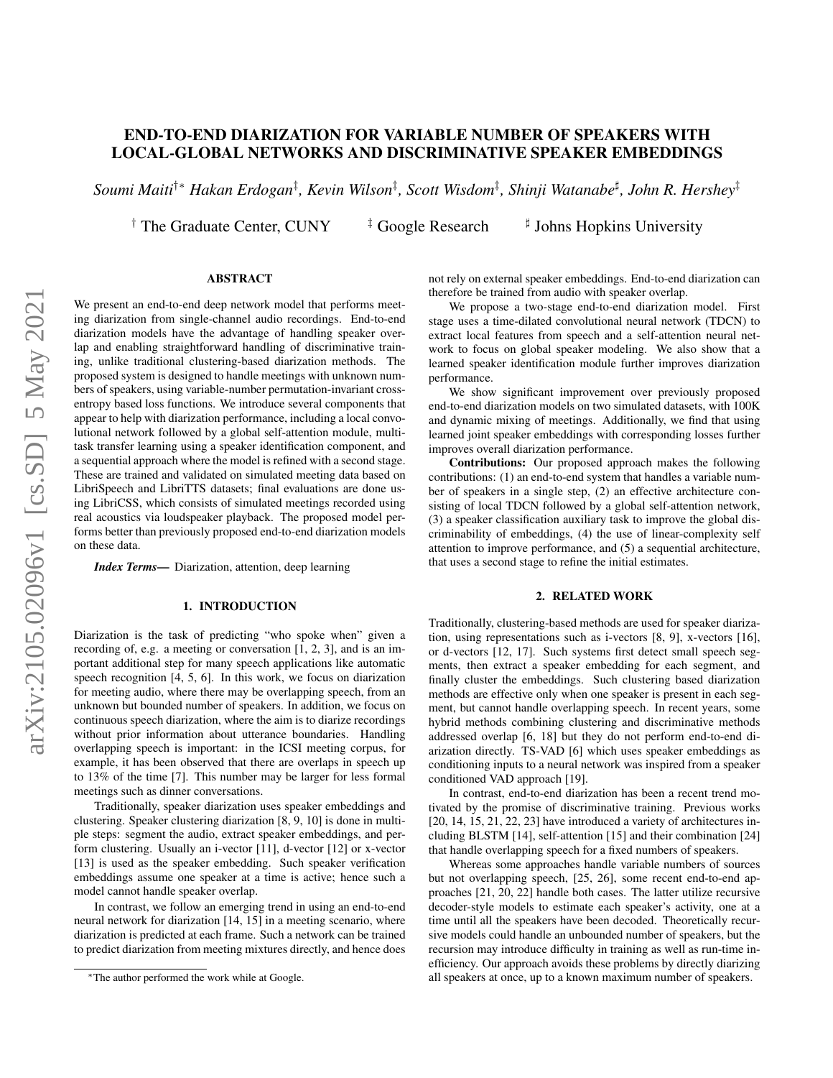# END-TO-END DIARIZATION FOR VARIABLE NUMBER OF SPEAKERS WITH LOCAL-GLOBAL NETWORKS AND DISCRIMINATIVE SPEAKER EMBEDDINGS

*Soumi Maiti*†∗ *Hakan Erdogan*‡ *, Kevin Wilson*‡ *, Scott Wisdom*‡ *, Shinji Watanabe*] *, John R. Hershey*‡

<sup> $\dagger$ </sup> The Graduate Center, CUNY  $\qquad \qquad ^{\ddagger}$  Google Research

Johns Hopkins University

# ABSTRACT

We present an end-to-end deep network model that performs meeting diarization from single-channel audio recordings. End-to-end diarization models have the advantage of handling speaker overlap and enabling straightforward handling of discriminative training, unlike traditional clustering-based diarization methods. The proposed system is designed to handle meetings with unknown numbers of speakers, using variable-number permutation-invariant crossentropy based loss functions. We introduce several components that appear to help with diarization performance, including a local convolutional network followed by a global self-attention module, multitask transfer learning using a speaker identification component, and a sequential approach where the model is refined with a second stage. These are trained and validated on simulated meeting data based on LibriSpeech and LibriTTS datasets; final evaluations are done using LibriCSS, which consists of simulated meetings recorded using real acoustics via loudspeaker playback. The proposed model performs better than previously proposed end-to-end diarization models on these data.

*Index Terms*— Diarization, attention, deep learning

# 1. INTRODUCTION

Diarization is the task of predicting "who spoke when" given a recording of, e.g. a meeting or conversation [1, 2, 3], and is an important additional step for many speech applications like automatic speech recognition [4, 5, 6]. In this work, we focus on diarization for meeting audio, where there may be overlapping speech, from an unknown but bounded number of speakers. In addition, we focus on continuous speech diarization, where the aim is to diarize recordings without prior information about utterance boundaries. Handling overlapping speech is important: in the ICSI meeting corpus, for example, it has been observed that there are overlaps in speech up to 13% of the time [7]. This number may be larger for less formal meetings such as dinner conversations.

Traditionally, speaker diarization uses speaker embeddings and clustering. Speaker clustering diarization [8, 9, 10] is done in multiple steps: segment the audio, extract speaker embeddings, and perform clustering. Usually an i-vector [11], d-vector [12] or x-vector [13] is used as the speaker embedding. Such speaker verification embeddings assume one speaker at a time is active; hence such a model cannot handle speaker overlap.

In contrast, we follow an emerging trend in using an end-to-end neural network for diarization [14, 15] in a meeting scenario, where diarization is predicted at each frame. Such a network can be trained to predict diarization from meeting mixtures directly, and hence does

not rely on external speaker embeddings. End-to-end diarization can therefore be trained from audio with speaker overlap.

We propose a two-stage end-to-end diarization model. First stage uses a time-dilated convolutional neural network (TDCN) to extract local features from speech and a self-attention neural network to focus on global speaker modeling. We also show that a learned speaker identification module further improves diarization performance.

We show significant improvement over previously proposed end-to-end diarization models on two simulated datasets, with 100K and dynamic mixing of meetings. Additionally, we find that using learned joint speaker embeddings with corresponding losses further improves overall diarization performance.

Contributions: Our proposed approach makes the following contributions: (1) an end-to-end system that handles a variable number of speakers in a single step, (2) an effective architecture consisting of local TDCN followed by a global self-attention network, (3) a speaker classification auxiliary task to improve the global discriminability of embeddings, (4) the use of linear-complexity self attention to improve performance, and (5) a sequential architecture, that uses a second stage to refine the initial estimates.

## 2. RELATED WORK

Traditionally, clustering-based methods are used for speaker diarization, using representations such as i-vectors [8, 9], x-vectors [16], or d-vectors [12, 17]. Such systems first detect small speech segments, then extract a speaker embedding for each segment, and finally cluster the embeddings. Such clustering based diarization methods are effective only when one speaker is present in each segment, but cannot handle overlapping speech. In recent years, some hybrid methods combining clustering and discriminative methods addressed overlap [6, 18] but they do not perform end-to-end diarization directly. TS-VAD [6] which uses speaker embeddings as conditioning inputs to a neural network was inspired from a speaker conditioned VAD approach [19].

In contrast, end-to-end diarization has been a recent trend motivated by the promise of discriminative training. Previous works [20, 14, 15, 21, 22, 23] have introduced a variety of architectures including BLSTM [14], self-attention [15] and their combination [24] that handle overlapping speech for a fixed numbers of speakers.

Whereas some approaches handle variable numbers of sources but not overlapping speech, [25, 26], some recent end-to-end approaches [21, 20, 22] handle both cases. The latter utilize recursive decoder-style models to estimate each speaker's activity, one at a time until all the speakers have been decoded. Theoretically recursive models could handle an unbounded number of speakers, but the recursion may introduce difficulty in training as well as run-time inefficiency. Our approach avoids these problems by directly diarizing all speakers at once, up to a known maximum number of speakers.

<sup>∗</sup>The author performed the work while at Google.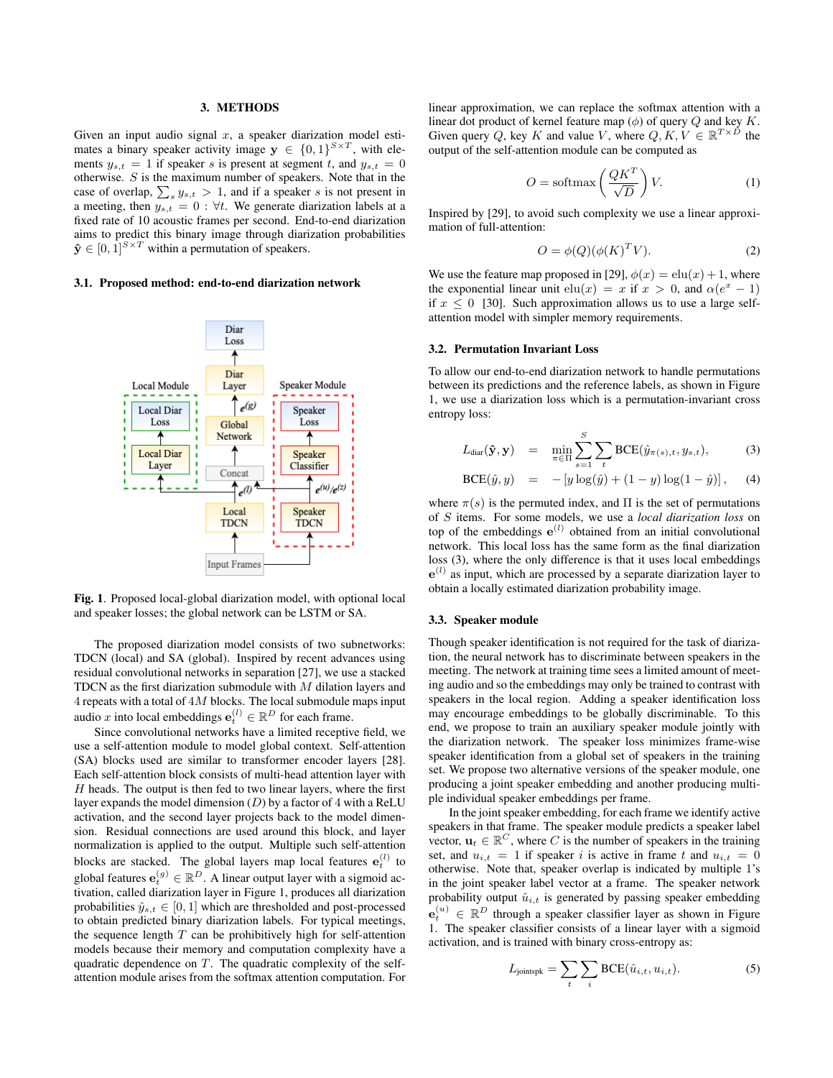#### 3. METHODS

Given an input audio signal  $x$ , a speaker diarization model estimates a binary speaker activity image  $y \in \{0,1\}^{S \times T}$ , with elements  $y_{s,t} = 1$  if speaker s is present at segment t, and  $y_{s,t} = 0$ otherwise.  $S$  is the maximum number of speakers. Note that in the case of overlap,  $\sum_s y_{s,t} > 1$ , and if a speaker s is not present in a meeting, then  $y_{s,t} = 0$ :  $\forall t$ . We generate diarization labels at a fixed rate of 10 acoustic frames per second. End-to-end diarization aims to predict this binary image through diarization probabilities  $\hat{\mathbf{y}} \in [0, 1]^{S \times T}$  within a permutation of speakers.

## 3.1. Proposed method: end-to-end diarization network



Fig. 1. Proposed local-global diarization model, with optional local and speaker losses; the global network can be LSTM or SA.

The proposed diarization model consists of two subnetworks: TDCN (local) and SA (global). Inspired by recent advances using residual convolutional networks in separation [27], we use a stacked TDCN as the first diarization submodule with M dilation layers and 4 repeats with a total of 4M blocks. The local submodule maps input audio x into local embeddings  $\mathbf{e}_t^{(l)} \in \mathbb{R}^D$  for each frame.

Since convolutional networks have a limited receptive field, we use a self-attention module to model global context. Self-attention (SA) blocks used are similar to transformer encoder layers [28]. Each self-attention block consists of multi-head attention layer with  $H$  heads. The output is then fed to two linear layers, where the first layer expands the model dimension  $(D)$  by a factor of 4 with a ReLU activation, and the second layer projects back to the model dimension. Residual connections are used around this block, and layer normalization is applied to the output. Multiple such self-attention blocks are stacked. The global layers map local features  $\mathbf{e}_t^{(l)}$  to global features  $\mathbf{e}_t^{(g)} \in \mathbb{R}^D$ . A linear output layer with a sigmoid activation, called diarization layer in Figure 1, produces all diarization probabilities  $\hat{y}_{s,t} \in [0, 1]$  which are thresholded and post-processed to obtain predicted binary diarization labels. For typical meetings, the sequence length  $T$  can be prohibitively high for self-attention models because their memory and computation complexity have a quadratic dependence on  $T$ . The quadratic complexity of the selfattention module arises from the softmax attention computation. For

linear approximation, we can replace the softmax attention with a linear dot product of kernel feature map  $(\phi)$  of query Q and key K. Given query Q, key K and value V, where  $Q, K, V \in \mathbb{R}^{T \times D}$  the output of the self-attention module can be computed as

$$
O = \text{softmax}\left(\frac{QK^T}{\sqrt{D}}\right)V.
$$
 (1)

Inspired by [29], to avoid such complexity we use a linear approximation of full-attention:

$$
O = \phi(Q)(\phi(K)^T V). \tag{2}
$$

We use the feature map proposed in [29],  $\phi(x) = \text{elu}(x) + 1$ , where the exponential linear unit  $elu(x) = x$  if  $x > 0$ , and  $\alpha(e^x - 1)$ if  $x \leq 0$  [30]. Such approximation allows us to use a large selfattention model with simpler memory requirements.

## 3.2. Permutation Invariant Loss

To allow our end-to-end diarization network to handle permutations between its predictions and the reference labels, as shown in Figure 1, we use a diarization loss which is a permutation-invariant cross entropy loss:

$$
L_{\text{diar}}(\mathbf{\hat{y}}, \mathbf{y}) = \min_{\pi \in \Pi} \sum_{s=1}^{S} \sum_{t} \text{BCE}(\hat{y}_{\pi(s),t}, y_{s,t}), \tag{3}
$$

$$
BCE(\hat{y}, y) = -[y \log(\hat{y}) + (1 - y) \log(1 - \hat{y})], \quad (4)
$$

where  $\pi(s)$  is the permuted index, and  $\Pi$  is the set of permutations of S items. For some models, we use a *local diarization loss* on top of the embeddings  $e^{(l)}$  obtained from an initial convolutional network. This local loss has the same form as the final diarization loss (3), where the only difference is that it uses local embeddings  $e^{(l)}$  as input, which are processed by a separate diarization layer to obtain a locally estimated diarization probability image.

#### 3.3. Speaker module

Though speaker identification is not required for the task of diarization, the neural network has to discriminate between speakers in the meeting. The network at training time sees a limited amount of meeting audio and so the embeddings may only be trained to contrast with speakers in the local region. Adding a speaker identification loss may encourage embeddings to be globally discriminable. To this end, we propose to train an auxiliary speaker module jointly with the diarization network. The speaker loss minimizes frame-wise speaker identification from a global set of speakers in the training set. We propose two alternative versions of the speaker module, one producing a joint speaker embedding and another producing multiple individual speaker embeddings per frame.

In the joint speaker embedding, for each frame we identify active speakers in that frame. The speaker module predicts a speaker label vector,  $\mathbf{u}_t \in \mathbb{R}^C$ , where C is the number of speakers in the training set, and  $u_{i,t} = 1$  if speaker i is active in frame t and  $u_{i,t} = 0$ otherwise. Note that, speaker overlap is indicated by multiple 1's in the joint speaker label vector at a frame. The speaker network probability output  $\hat{u}_{i,t}$  is generated by passing speaker embedding  $e_t^{(u)} \in \mathbb{R}^D$  through a speaker classifier layer as shown in Figure 1. The speaker classifier consists of a linear layer with a sigmoid activation, and is trained with binary cross-entropy as:

$$
L_{\text{jointspk}} = \sum_{t} \sum_{i} \text{BCE}(\hat{u}_{i,t}, u_{i,t}). \tag{5}
$$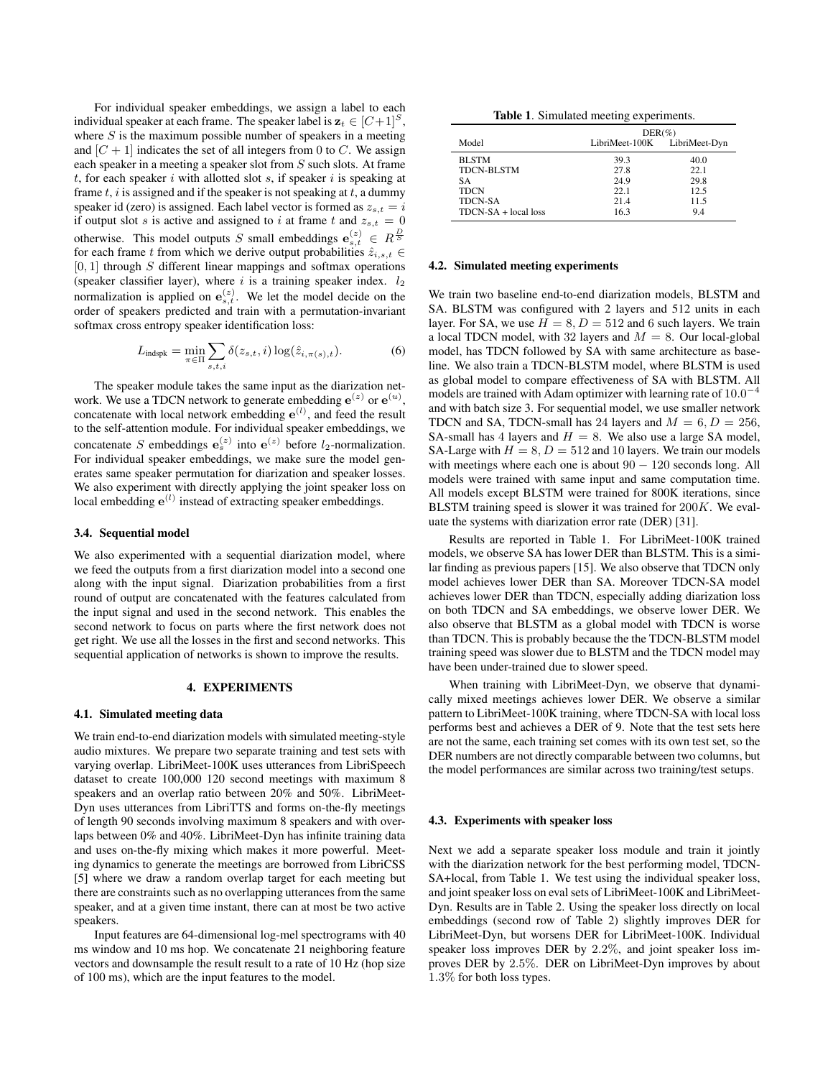For individual speaker embeddings, we assign a label to each individual speaker at each frame. The speaker label is  $\mathbf{z}_t \in [C+1]^S$ , where  $S$  is the maximum possible number of speakers in a meeting and  $[C + 1]$  indicates the set of all integers from 0 to C. We assign each speaker in a meeting a speaker slot from S such slots. At frame  $t$ , for each speaker  $i$  with allotted slot  $s$ , if speaker  $i$  is speaking at frame  $t$ , i is assigned and if the speaker is not speaking at  $t$ , a dummy speaker id (zero) is assigned. Each label vector is formed as  $z_{s,t} = i$ if output slot s is active and assigned to i at frame t and  $z_{s,t} = 0$ otherwise. This model outputs S small embeddings  $e_{s,t}^{(z)} \in R^{\frac{D}{S}}$ for each frame t from which we derive output probabilities  $\hat{z}_{i,s,t}$  $[0, 1]$  through S different linear mappings and softmax operations (speaker classifier layer), where  $i$  is a training speaker index.  $l_2$ normalization is applied on  $e_{s,t}^{(z)}$ . We let the model decide on the order of speakers predicted and train with a permutation-invariant softmax cross entropy speaker identification loss:

$$
L_{\text{indspk}} = \min_{\pi \in \Pi} \sum_{s,t,i} \delta(z_{s,t}, i) \log(\hat{z}_{i,\pi(s),t}). \tag{6}
$$

The speaker module takes the same input as the diarization network. We use a TDCN network to generate embedding  $e^{(z)}$  or  $e^{(u)}$ , concatenate with local network embedding  $e^{(l)}$ , and feed the result to the self-attention module. For individual speaker embeddings, we concatenate S embeddings  $e_s^{(z)}$  into  $e^{(z)}$  before *l*<sub>2</sub>-normalization. For individual speaker embeddings, we make sure the model generates same speaker permutation for diarization and speaker losses. We also experiment with directly applying the joint speaker loss on local embedding  $e^{(l)}$  instead of extracting speaker embeddings.

# 3.4. Sequential model

We also experimented with a sequential diarization model, where we feed the outputs from a first diarization model into a second one along with the input signal. Diarization probabilities from a first round of output are concatenated with the features calculated from the input signal and used in the second network. This enables the second network to focus on parts where the first network does not get right. We use all the losses in the first and second networks. This sequential application of networks is shown to improve the results.

#### 4. EXPERIMENTS

#### 4.1. Simulated meeting data

We train end-to-end diarization models with simulated meeting-style audio mixtures. We prepare two separate training and test sets with varying overlap. LibriMeet-100K uses utterances from LibriSpeech dataset to create 100,000 120 second meetings with maximum 8 speakers and an overlap ratio between 20% and 50%. LibriMeet-Dyn uses utterances from LibriTTS and forms on-the-fly meetings of length 90 seconds involving maximum 8 speakers and with overlaps between 0% and 40%. LibriMeet-Dyn has infinite training data and uses on-the-fly mixing which makes it more powerful. Meeting dynamics to generate the meetings are borrowed from LibriCSS [5] where we draw a random overlap target for each meeting but there are constraints such as no overlapping utterances from the same speaker, and at a given time instant, there can at most be two active speakers.

Input features are 64-dimensional log-mel spectrograms with 40 ms window and 10 ms hop. We concatenate 21 neighboring feature vectors and downsample the result result to a rate of 10 Hz (hop size of 100 ms), which are the input features to the model.

Table 1. Simulated meeting experiments.

|                      | $DER(\%)$                    |      |  |  |
|----------------------|------------------------------|------|--|--|
| Model                | LibriMeet-100K LibriMeet-Dyn |      |  |  |
| <b>BLSTM</b>         | 39.3                         | 40.0 |  |  |
| <b>TDCN-BLSTM</b>    | 27.8                         | 22.1 |  |  |
| SA.                  | 24.9                         | 29.8 |  |  |
| <b>TDCN</b>          | 22.1                         | 12.5 |  |  |
| <b>TDCN-SA</b>       | 21.4                         | 11.5 |  |  |
| TDCN-SA + local loss | 16.3                         | 9.4  |  |  |

#### 4.2. Simulated meeting experiments

We train two baseline end-to-end diarization models, BLSTM and SA. BLSTM was configured with 2 layers and 512 units in each layer. For SA, we use  $H = 8, D = 512$  and 6 such layers. We train a local TDCN model, with 32 layers and  $M = 8$ . Our local-global model, has TDCN followed by SA with same architecture as baseline. We also train a TDCN-BLSTM model, where BLSTM is used as global model to compare effectiveness of SA with BLSTM. All models are trained with Adam optimizer with learning rate of  $10.0^{-4}$ and with batch size 3. For sequential model, we use smaller network TDCN and SA, TDCN-small has 24 layers and  $M = 6, D = 256$ , SA-small has 4 layers and  $H = 8$ . We also use a large SA model, SA-Large with  $H = 8, D = 512$  and 10 layers. We train our models with meetings where each one is about 90 − 120 seconds long. All models were trained with same input and same computation time. All models except BLSTM were trained for 800K iterations, since BLSTM training speed is slower it was trained for  $200K$ . We evaluate the systems with diarization error rate (DER) [31].

Results are reported in Table 1. For LibriMeet-100K trained models, we observe SA has lower DER than BLSTM. This is a similar finding as previous papers [15]. We also observe that TDCN only model achieves lower DER than SA. Moreover TDCN-SA model achieves lower DER than TDCN, especially adding diarization loss on both TDCN and SA embeddings, we observe lower DER. We also observe that BLSTM as a global model with TDCN is worse than TDCN. This is probably because the the TDCN-BLSTM model training speed was slower due to BLSTM and the TDCN model may have been under-trained due to slower speed.

When training with LibriMeet-Dyn, we observe that dynamically mixed meetings achieves lower DER. We observe a similar pattern to LibriMeet-100K training, where TDCN-SA with local loss performs best and achieves a DER of 9. Note that the test sets here are not the same, each training set comes with its own test set, so the DER numbers are not directly comparable between two columns, but the model performances are similar across two training/test setups.

#### 4.3. Experiments with speaker loss

Next we add a separate speaker loss module and train it jointly with the diarization network for the best performing model, TDCN-SA+local, from Table 1. We test using the individual speaker loss, and joint speaker loss on eval sets of LibriMeet-100K and LibriMeet-Dyn. Results are in Table 2. Using the speaker loss directly on local embeddings (second row of Table 2) slightly improves DER for LibriMeet-Dyn, but worsens DER for LibriMeet-100K. Individual speaker loss improves DER by 2.2%, and joint speaker loss improves DER by 2.5%. DER on LibriMeet-Dyn improves by about 1.3% for both loss types.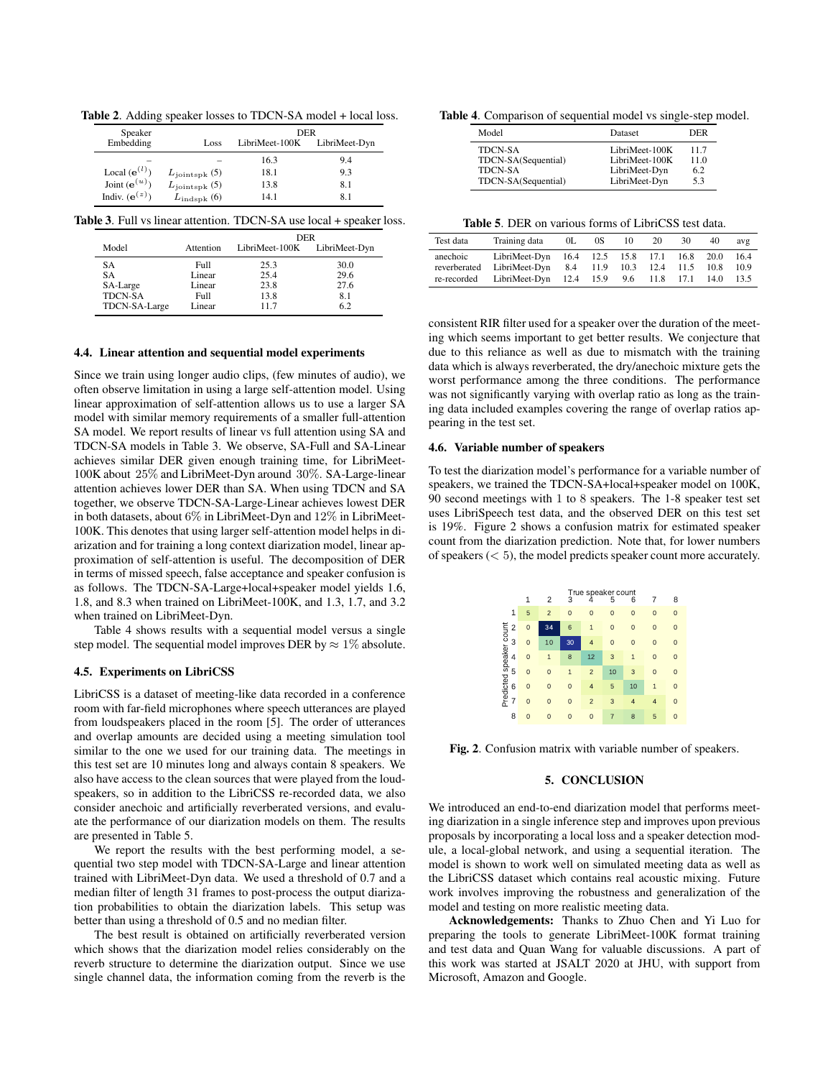Table 2. Adding speaker losses to TDCN-SA model + local loss.

| Speaker            |                          | <b>DER</b>     |               |  |  |  |
|--------------------|--------------------------|----------------|---------------|--|--|--|
| Embedding          | Loss                     | LibriMeet-100K | LibriMeet-Dyn |  |  |  |
|                    |                          | 16.3           | 9.4           |  |  |  |
| Local $(e^{(l)})$  | $L_{\text{jointspk}}(5)$ | 18.1           | 9.3           |  |  |  |
| Joint $(e^{(u)})$  | $L_{\text{jointspk}}(5)$ | 13.8           | 8.1           |  |  |  |
| Indiv. $(e^{(z)})$ | $L_{\text{indspk}}(6)$   | 14.1           | 8.1           |  |  |  |

|  |  |  |  | Table 3. Full vs linear attention. TDCN-SA use local + speaker loss. |  |  |  |  |  |
|--|--|--|--|----------------------------------------------------------------------|--|--|--|--|--|
|--|--|--|--|----------------------------------------------------------------------|--|--|--|--|--|

|                |           | <b>DER</b>     |               |  |  |  |
|----------------|-----------|----------------|---------------|--|--|--|
| Model          | Attention | LibriMeet-100K | LibriMeet-Dyn |  |  |  |
| SА             | Full      | 25.3           | 30.0          |  |  |  |
| SA             | Linear    | 25.4           | 29.6          |  |  |  |
| SA-Large       | Linear    | 23.8           | 27.6          |  |  |  |
| <b>TDCN-SA</b> | Full      | 13.8           | 8.1           |  |  |  |
| TDCN-SA-Large  | Linear    | 117            | 6.2           |  |  |  |

# 4.4. Linear attention and sequential model experiments

Since we train using longer audio clips, (few minutes of audio), we often observe limitation in using a large self-attention model. Using linear approximation of self-attention allows us to use a larger SA model with similar memory requirements of a smaller full-attention SA model. We report results of linear vs full attention using SA and TDCN-SA models in Table 3. We observe, SA-Full and SA-Linear achieves similar DER given enough training time, for LibriMeet-100K about 25% and LibriMeet-Dyn around 30%. SA-Large-linear attention achieves lower DER than SA. When using TDCN and SA together, we observe TDCN-SA-Large-Linear achieves lowest DER in both datasets, about 6% in LibriMeet-Dyn and 12% in LibriMeet-100K. This denotes that using larger self-attention model helps in diarization and for training a long context diarization model, linear approximation of self-attention is useful. The decomposition of DER in terms of missed speech, false acceptance and speaker confusion is as follows. The TDCN-SA-Large+local+speaker model yields 1.6, 1.8, and 8.3 when trained on LibriMeet-100K, and 1.3, 1.7, and 3.2 when trained on LibriMeet-Dyn.

Table 4 shows results with a sequential model versus a single step model. The sequential model improves DER by  $\approx 1\%$  absolute.

## 4.5. Experiments on LibriCSS

LibriCSS is a dataset of meeting-like data recorded in a conference room with far-field microphones where speech utterances are played from loudspeakers placed in the room [5]. The order of utterances and overlap amounts are decided using a meeting simulation tool similar to the one we used for our training data. The meetings in this test set are 10 minutes long and always contain 8 speakers. We also have access to the clean sources that were played from the loudspeakers, so in addition to the LibriCSS re-recorded data, we also consider anechoic and artificially reverberated versions, and evaluate the performance of our diarization models on them. The results are presented in Table 5.

We report the results with the best performing model, a sequential two step model with TDCN-SA-Large and linear attention trained with LibriMeet-Dyn data. We used a threshold of 0.7 and a median filter of length 31 frames to post-process the output diarization probabilities to obtain the diarization labels. This setup was better than using a threshold of 0.5 and no median filter.

The best result is obtained on artificially reverberated version which shows that the diarization model relies considerably on the reverb structure to determine the diarization output. Since we use single channel data, the information coming from the reverb is the

Table 4. Comparison of sequential model vs single-step model.

| Model               | Dataset        | DER  |
|---------------------|----------------|------|
| <b>TDCN-SA</b>      | LibriMeet-100K | 11.7 |
| TDCN-SA(Sequential) | LibriMeet-100K | 11.0 |
| <b>TDCN-SA</b>      | LibriMeet-Dyn  | 6.2  |
| TDCN-SA(Sequential) | LibriMeet-Dyn  | 5.3  |

| <b>Table 5.</b> DER on various forms of LibriCSS test data. |  |  |  |
|-------------------------------------------------------------|--|--|--|
|-------------------------------------------------------------|--|--|--|

| Test data | Training data                                                                                                                                               | $_{0L}$ | 0S | 10 | 20 | 30 | 40   | avg                  |
|-----------|-------------------------------------------------------------------------------------------------------------------------------------------------------------|---------|----|----|----|----|------|----------------------|
| anechoic  | LibriMeet-Dyn 16.4 12.5 15.8 17.1 16.8 20.0<br>reverberated LibriMeet-Dyn 8.4 11.9 10.3 12.4 11.5<br>re-recorded LibriMeet-Dyn 12.4 15.9 9.6 11.8 17.1 14.0 |         |    |    |    |    | 10.8 | 16.4<br>10.9<br>13.5 |

consistent RIR filter used for a speaker over the duration of the meeting which seems important to get better results. We conjecture that due to this reliance as well as due to mismatch with the training data which is always reverberated, the dry/anechoic mixture gets the worst performance among the three conditions. The performance was not significantly varying with overlap ratio as long as the training data included examples covering the range of overlap ratios appearing in the test set.

#### 4.6. Variable number of speakers

To test the diarization model's performance for a variable number of speakers, we trained the TDCN-SA+local+speaker model on 100K, 90 second meetings with 1 to 8 speakers. The 1-8 speaker test set uses LibriSpeech test data, and the observed DER on this test set is 19%. Figure 2 shows a confusion matrix for estimated speaker count from the diarization prediction. Note that, for lower numbers of speakers  $(< 5)$ , the model predicts speaker count more accurately.

|   | 1              | 2              | 3              | True speaker count | 5        | 6        |                | 8              |  |
|---|----------------|----------------|----------------|--------------------|----------|----------|----------------|----------------|--|
| 1 | 5              | $\overline{2}$ |                | n                  | $\Omega$ | $\Omega$ | Ω              | 0              |  |
|   | $\overline{0}$ | 34             | 6              | $\mathbf{1}$       | $\Omega$ | $\Omega$ | $\mathbf{0}$   | $\overline{0}$ |  |
|   | $\overline{0}$ | 10             | 30             | $\overline{A}$     | $\Omega$ | $\Omega$ | $\mathbf 0$    | 0              |  |
|   | $\mathbf 0$    | $\overline{1}$ | 8              | 12                 | 3        | 1        | $\Omega$       | $\Omega$       |  |
|   | $\Omega$       | 0              | $\overline{1}$ | $\overline{c}$     | 10       | 3        | $\mathbf 0$    | 0              |  |
|   | $\Omega$       | 0              | n              | $\overline{A}$     | 5        | 10       | $\overline{1}$ | $\overline{0}$ |  |
|   | $\Omega$       | O              | O              | $\overline{2}$     | 3        | 4        | $\overline{4}$ | 0              |  |
| 8 | O              | O              |                | 0                  | 7        | 8        | 5              | 0              |  |

Fig. 2. Confusion matrix with variable number of speakers.

# 5. CONCLUSION

We introduced an end-to-end diarization model that performs meeting diarization in a single inference step and improves upon previous proposals by incorporating a local loss and a speaker detection module, a local-global network, and using a sequential iteration. The model is shown to work well on simulated meeting data as well as the LibriCSS dataset which contains real acoustic mixing. Future work involves improving the robustness and generalization of the model and testing on more realistic meeting data.

Acknowledgements: Thanks to Zhuo Chen and Yi Luo for preparing the tools to generate LibriMeet-100K format training and test data and Quan Wang for valuable discussions. A part of this work was started at JSALT 2020 at JHU, with support from Microsoft, Amazon and Google.